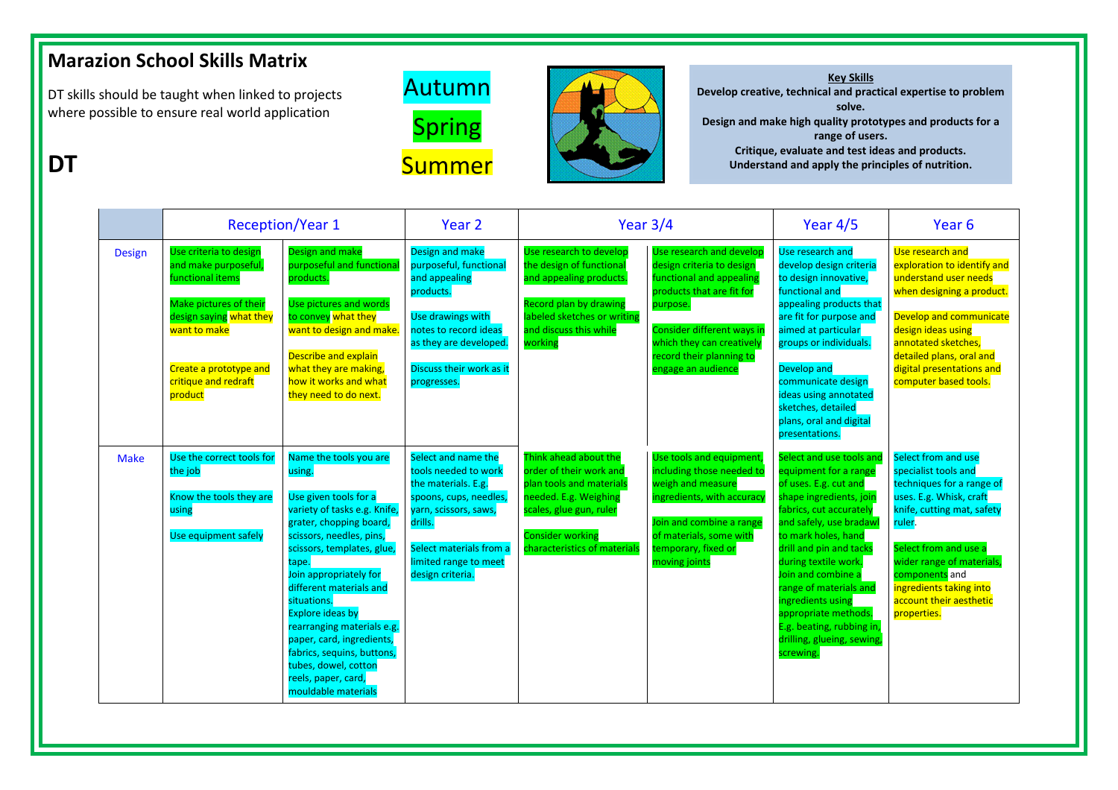## **Marazion School Skills Matrix**

DT skills should be taught when linked to projects where possible to ensure real world application

**DT**





**Key Skills Develop creative, technical and practical expertise to problem solve. Design and make high quality prototypes and products for a range of users. Critique, evaluate and test ideas and products. Understand and apply the principles of nutrition.**

|               | <b>Reception/Year 1</b>                                                                                                                                                                             |                                                                                                                                                                                                                                                                                                                                                                                                                                                       | Year 2                                                                                                                                                                                                   | Year $3/4$                                                                                                                                                                                  |                                                                                                                                                                                                                                                | Year $4/5$                                                                                                                                                                                                                                                                                                                                                                                                 | Year <sub>6</sub>                                                                                                                                                                                                                                                                        |
|---------------|-----------------------------------------------------------------------------------------------------------------------------------------------------------------------------------------------------|-------------------------------------------------------------------------------------------------------------------------------------------------------------------------------------------------------------------------------------------------------------------------------------------------------------------------------------------------------------------------------------------------------------------------------------------------------|----------------------------------------------------------------------------------------------------------------------------------------------------------------------------------------------------------|---------------------------------------------------------------------------------------------------------------------------------------------------------------------------------------------|------------------------------------------------------------------------------------------------------------------------------------------------------------------------------------------------------------------------------------------------|------------------------------------------------------------------------------------------------------------------------------------------------------------------------------------------------------------------------------------------------------------------------------------------------------------------------------------------------------------------------------------------------------------|------------------------------------------------------------------------------------------------------------------------------------------------------------------------------------------------------------------------------------------------------------------------------------------|
| <b>Design</b> | Use criteria to design<br>and make purposeful,<br>unctional items<br>Make pictures of their<br>design saying what they<br>want to make<br>Create a prototype and<br>critique and redraft<br>product | <b>Design and make</b><br>purposeful and functiona<br>products.<br>Use pictures and words<br>to convey what they<br>want to design and make.<br><b>Describe and explain</b><br>what they are making,<br>how it works and what<br>they need to do next.                                                                                                                                                                                                | Design and make<br>purposeful, functional<br>and appealing<br>products.<br>Use drawings with<br>notes to record ideas<br>as they are developed.<br>Discuss their work as it<br>progresses.               | Use research to develop<br>the design of functional<br>and appealing products.<br><b>Record plan by drawing</b><br>labeled sketches or writing<br>and discuss this while<br>working         | Use research and develop<br>design criteria to design<br>functional and appealing<br>products that are fit for<br>purpose.<br><b>Consider different ways in</b><br>which they can creatively<br>record their planning to<br>engage an audience | Use research and<br>develop design criteria<br>to design innovative,<br>functional and<br>appealing products that<br>are fit for purpose and<br>aimed at particular<br>groups or individuals.<br>Develop and<br>communicate design<br>ideas using annotated<br>sketches, detailed<br>plans, oral and digital<br>presentations.                                                                             | Use research and<br>exploration to identify and<br>understand user needs<br>when designing a product.<br>Develop and communicate<br>design ideas using<br>annotated sketches,<br>detailed plans, oral and<br>digital presentations and<br>computer based tools.                          |
| <b>Make</b>   | Use the correct tools for<br>the job<br>Know the tools they are<br>using<br>Use equipment safely                                                                                                    | Name the tools you are<br>using.<br>Use given tools for a<br>variety of tasks e.g. Knife,<br>grater, chopping board,<br>scissors, needles, pins,<br>scissors, templates, glue,<br>tape.<br>Join appropriately for<br>different materials and<br>situations.<br><b>Explore ideas by</b><br>rearranging materials e.g.<br>paper, card, ingredients,<br>fabrics, sequins, buttons,<br>tubes, dowel, cotton<br>reels, paper, card,<br>mouldable materials | Select and name the<br>tools needed to work<br>the materials. E.g.<br>spoons, cups, needles,<br>yarn, scissors, saws,<br>drills.<br>Select materials from a<br>limited range to meet<br>design criteria. | Think ahead about the<br>order of their work and<br>plan tools and materials<br>needed. E.g. Weighing<br>scales, glue gun, ruler<br><b>Consider working</b><br>characteristics of materials | Use tools and equipment,<br>including those needed to<br>weigh and measure<br>ingredients, with accuracy<br>Join and combine a range<br>of materials, some with<br>temporary, fixed or<br>moving joints                                        | Select and use tools and<br>equipment for a range<br>of uses. E.g. cut and<br>shape ingredients, join<br>fabrics, cut accurately<br>and safely, use bradawl<br>to mark holes, hand<br>drill and pin and tacks<br>during textile work.<br>Join and combine a<br>range of materials and<br>ingredients using<br>appropriate methods.<br>E.g. beating, rubbing in,<br>drilling, glueing, sewing,<br>screwing. | Select from and use<br>specialist tools and<br>techniques for a range of<br>uses. E.g. Whisk, craft<br>knife, cutting mat, safety<br>ruler.<br>Select from and use a<br>wider range of materials,<br>components and<br>ingredients taking into<br>account their aesthetic<br>properties. |